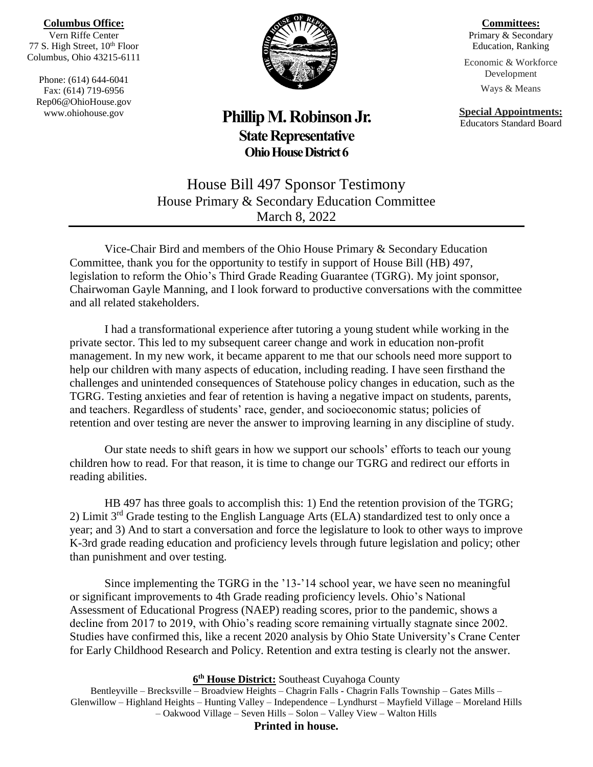### **Columbus Office:**

Vern Riffe Center 77 S. High Street, 10<sup>th</sup> Floor Columbus, Ohio 43215-6111

Phone: (614) 644-6041 Fax: (614) 719-6956 Rep06@OhioHouse.gov www.ohiohouse.gov



## **Phillip M. Robinson Jr. State Representative Ohio House District 6**

**Committees:** Primary & Secondary Education, Ranking

Economic & Workforce Development Ways & Means

**Special Appointments:**

Educators Standard Board

House Bill 497 Sponsor Testimony House Primary & Secondary Education Committee March 8, 2022

Vice-Chair Bird and members of the Ohio House Primary & Secondary Education Committee, thank you for the opportunity to testify in support of House Bill (HB) 497, legislation to reform the Ohio's Third Grade Reading Guarantee (TGRG). My joint sponsor, Chairwoman Gayle Manning, and I look forward to productive conversations with the committee and all related stakeholders.

I had a transformational experience after tutoring a young student while working in the private sector. This led to my subsequent career change and work in education non-profit management. In my new work, it became apparent to me that our schools need more support to help our children with many aspects of education, including reading. I have seen firsthand the challenges and unintended consequences of Statehouse policy changes in education, such as the TGRG. Testing anxieties and fear of retention is having a negative impact on students, parents, and teachers. Regardless of students' race, gender, and socioeconomic status; policies of retention and over testing are never the answer to improving learning in any discipline of study.

Our state needs to shift gears in how we support our schools' efforts to teach our young children how to read. For that reason, it is time to change our TGRG and redirect our efforts in reading abilities.

HB 497 has three goals to accomplish this: 1) End the retention provision of the TGRG; 2) Limit 3rd Grade testing to the English Language Arts (ELA) standardized test to only once a year; and 3) And to start a conversation and force the legislature to look to other ways to improve K-3rd grade reading education and proficiency levels through future legislation and policy; other than punishment and over testing.

Since implementing the TGRG in the '13-'14 school year, we have seen no meaningful or significant improvements to 4th Grade reading proficiency levels. Ohio's National Assessment of Educational Progress (NAEP) reading scores, prior to the pandemic, shows a decline from 2017 to 2019, with Ohio's reading score remaining virtually stagnate since 2002. Studies have confirmed this, like a recent 2020 analysis by Ohio State University's Crane Center for Early Childhood Research and Policy. Retention and extra testing is clearly not the answer.

#### **6 th House District:** Southeast Cuyahoga County

Bentleyville – Brecksville – Broadview Heights – Chagrin Falls - Chagrin Falls Township – Gates Mills – Glenwillow – Highland Heights – Hunting Valley – Independence – Lyndhurst – Mayfield Village – Moreland Hills – Oakwood Village – Seven Hills – Solon – Valley View – Walton Hills

**Printed in house.**